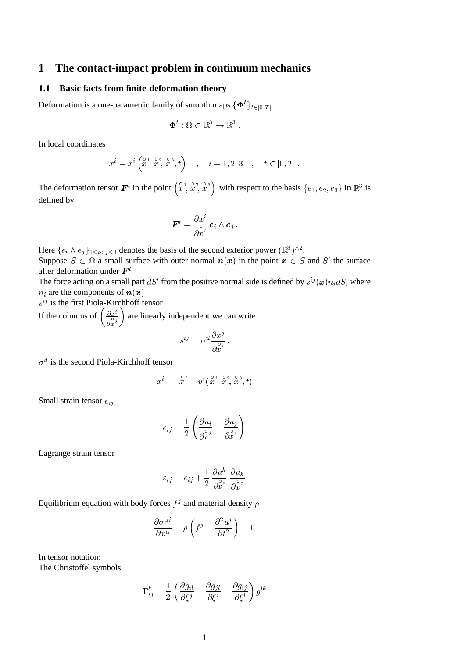# **1 The contact-impact problem in continuum mechanics**

## **1.1 Basic facts from finite-deformation theory**

Deformation is a one-parametric family of smooth maps  $\{\boldsymbol{\Phi}^t\}_{t\in[0,T]}$ 

$$
\pmb{\Phi}^t: \Omega \subset \mathbb{R}^3 \rightarrow \mathbb{R}^3 \ .
$$

In local coordinates

$$
x^{i} = x^{i} \left(x^{1}, x^{2}, x^{3}, t\right)
$$
,  $i = 1, 2, 3$ ,  $t \in [0, T]$ .

The deformation tensor  $\mathbf{F}^t$  in the point  $\left(\begin{array}{c} \circ & 1 \\ x & x \end{array}, \begin{array}{c} \circ & 2 \\ x & y \end{array}, \begin{array}{c} \circ & 3 \\ x & y \end{array}\right)$ with respect to the basis  $\{e_1, e_2, e_3\}$  in  $\mathbb{R}^3$  is defined by

$$
\bm{F}^t = \frac{\partial x^i}{\partial_x^{\circ_j}} \bm{e}_i \wedge \bm{e}_j~.
$$

Here  $\{e_i \wedge e_j\}_{1 \leq i \leq j \leq 3}$  denotes the basis of the second exterior power  $(\mathbb{R}^3)^{\wedge 2}$ . Suppose  $S \subset \Omega$  a small surface with outer normal  $n(x)$  in the point  $x \in S$  and  $S'$  the surface after deformation under  $\boldsymbol{F}^t$ 

The force acting on a small part  $dS'$  from the positive normal side is defined by  $s^{ij}(\boldsymbol{x})n_i dS$ , where  $n_i$  are the components of  $n(x)$ 

 $s^{ij}$  is the first Piola-Kirchhoff tensor

If the columns of  $\left(\frac{\partial x^i}{\partial x^j}\right)$  $\frac{\partial x^i}{\partial x^j}$  are linearly independent we can write

$$
s^{ij} = \sigma^{il} \frac{\partial x^j}{\partial \hat{x}^l}
$$

 $\sigma^{il}$  is the second Piola-Kirchhoff tensor

$$
x^{i} = \hat{x}^{i} + u^{i}(\hat{x}^{1}, \hat{x}^{2}, \hat{x}^{3}, t)
$$

Small strain tensor  $e_{ij}$ 

$$
e_{ij} = \frac{1}{2} \left( \frac{\partial u_i}{\partial \overset{\circ}{x}^j} + \frac{\partial u_j}{\partial \overset{\circ}{x}^i} \right)
$$

Lagrange strain tensor

$$
\varepsilon_{ij} = e_{ij} + \frac{1}{2} \, \frac{\partial u^k}{\partial \hat{x}^i} \, \frac{\partial u_k}{\partial \hat{x}^j}
$$

Equilibrium equation with body forces  $f^j$  and material density  $\rho$ 

$$
\frac{\partial \sigma^{\alpha j}}{\partial x^{\alpha}} + \rho \left( f^{j} - \frac{\partial^{2} u^{j}}{\partial t^{2}} \right) = 0
$$

In tensor notation: The Christoffel symbols

$$
\Gamma_{ij}^k = \frac{1}{2} \left( \frac{\partial g_{il}}{\partial \xi^j} + \frac{\partial g_{jl}}{\partial \xi^i} - \frac{\partial g_{ij}}{\partial \xi^l} \right) g^{lk}
$$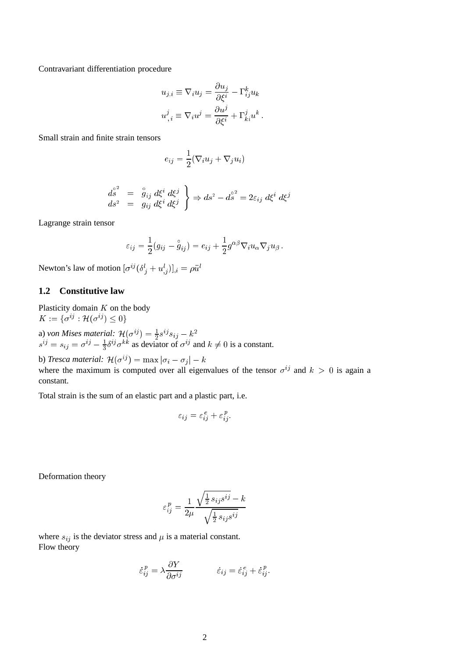Contravariant differentiation procedure

$$
u_{j,i} \equiv \nabla_i u_j = \frac{\partial u_j}{\partial \xi^i} - \Gamma^k_{ij} u_k
$$
  

$$
u^j_{,i} \equiv \nabla_i u^j = \frac{\partial u^j}{\partial \xi^i} + \Gamma^j_{ki} u^k.
$$

Small strain and finite strain tensors

$$
e_{ij} = \frac{1}{2} (\nabla_i u_j + \nabla_j u_i)
$$

$$
\begin{array}{rcl}\nd\overset{\circ}{s} & = & \overset{\circ}{g}_{ij} \, d\xi^i \, d\xi^j \\
ds^2 & = & g_{ij} \, d\xi^i \, d\xi^j\n\end{array}\n\bigg\} \Rightarrow ds^2 - d\overset{\circ}{s}^2 = 2\varepsilon_{ij} \, d\xi^i \, d\xi^j
$$

Lagrange strain tensor

$$
\varepsilon_{ij} = \frac{1}{2}(g_{ij} - \overset{\circ}{g}_{ij}) = e_{ij} + \frac{1}{2}g^{\alpha\beta}\nabla_i u_\alpha\nabla_j u_\beta.
$$

Newton's law of motion  $[\sigma^{ij} (\delta^l_{j} + u^l_{,j})]_{,i} = \rho \ddot{u}^l$ 

# **1.2 Constitutive law**

Plasticity domain  $K$  on the body  $K := \{ \sigma^{ij} : \mathcal{H}(\sigma^{ij}) \leq 0 \}$ 

a) von Mises material:  $\mathcal{H}(\sigma^{ij}) = \frac{1}{2} s^{ij} s_{ij} - k^2$  $s^{ij} = s_{ij} = \sigma^{ij} - \frac{1}{3} \delta^{ij} \sigma^{kk}$  as deviator of  $\sigma^{ij}$  and  $k \neq 0$  is a constant.

b) *Tresca material:*  $\mathcal{H}(\sigma^{ij}) = \max |\sigma_i - \sigma_j| - k$ where the maximum is computed over all eigenvalues of the tensor  $\sigma^{ij}$  and  $k > 0$  is again a constant.

Total strain is the sum of an elastic part and a plastic part, i.e.

$$
\varepsilon_{ij} = \varepsilon_{ij}^e + \varepsilon_{ij}^p.
$$

Deformation theory

$$
\varepsilon_{ij}^p = \frac{1}{2\mu} \frac{\sqrt{\frac{1}{2} s_{ij} s^{ij}} - k}{\sqrt{\frac{1}{2} s_{ij} s^{ij}}}
$$

where  $s_{ij}$  is the deviator stress and  $\mu$  is a material constant. Flow theory

$$
\dot{\varepsilon}_{ij}^p = \lambda \frac{\partial Y}{\partial \sigma^{ij}} \qquad \qquad \dot{\varepsilon}_{ij} = \dot{\varepsilon}_{ij}^e + \dot{\varepsilon}_{ij}^p.
$$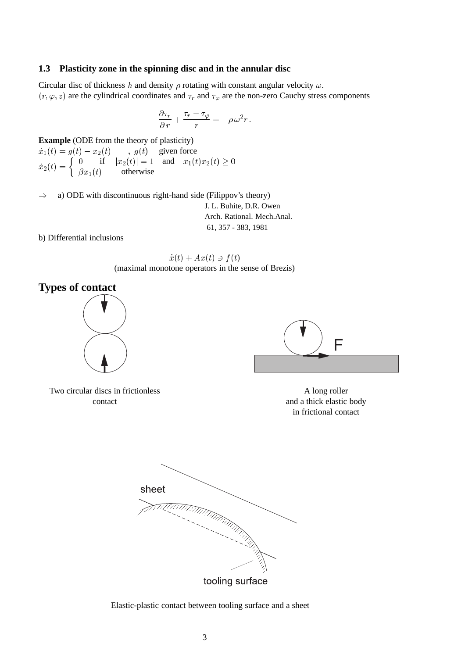## **1.3 Plasticity zone in the spinning disc and in the annular disc**

Circular disc of thickness h and density  $\rho$  rotating with constant angular velocity  $\omega$ .  $(r, \varphi, z)$  are the cylindrical coordinates and  $\tau_r$  and  $\tau_\varphi$  are the non-zero Cauchy stress components

$$
\frac{\partial \tau_r}{\partial r} + \frac{\tau_r - \tau_\varphi}{r} = -\rho \omega^2 r.
$$

**Example** (ODE from the theory of plasticity)

 $\dot{x}_1(t) = g(t) - x_2(t)$ ,  $g(t)$  given force  $\dot{x}_2(t) = \begin{cases} 0 & \text{if } |x_2(t)| = 1 \text{ and } x_1(t)x_2(t) \ge 0 \end{cases}$  $\beta x_1(t)$  otherwise

 $\Rightarrow$  a) ODE with discontinuous right-hand side (Filippov's theory)

J. L. Buhite, D.R. Owen Arch. Rational. Mech.Anal. 61, 357 - 383, 1981

b) Differential inclusions



# **Types of contact**



Two circular discs in frictionless contact

F

A long roller and a thick elastic body in frictional contact



Elastic-plastic contact between tooling surface and a sheet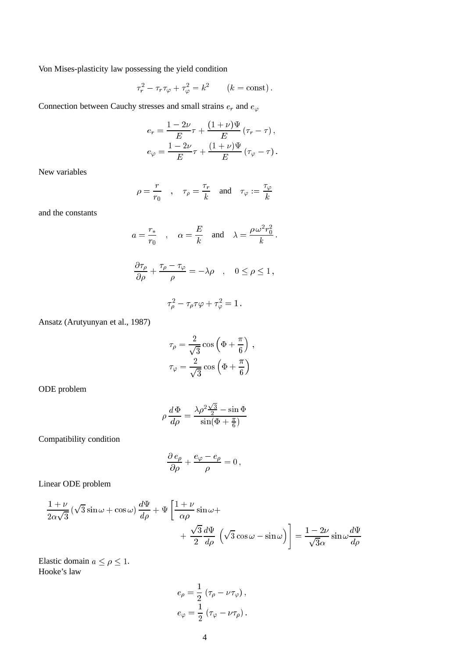Von Mises-plasticity law possessing the yield condition

$$
\tau_r^2 - \tau_r \tau_\varphi + \tau_\varphi^2 = k^2 \qquad (k = \text{const}).
$$

Connection between Cauchy stresses and small strains  $e_r$  and  $e_{\varphi}$ 

$$
e_r = \frac{1 - 2\nu}{E} \tau + \frac{(1 + \nu)\Psi}{E} (\tau_r - \tau),
$$
  

$$
e_{\varphi} = \frac{1 - 2\nu}{E} \tau + \frac{(1 + \nu)\Psi}{E} (\tau_{\varphi} - \tau).
$$

New variables

$$
\rho = \frac{r}{r_0} \quad , \quad \tau_\rho = \frac{\tau_r}{k} \quad \text{and} \quad \tau_\varphi := \frac{\tau_\varphi}{k}
$$

and the constants

$$
a = \frac{r_*}{r_0} \quad , \quad \alpha = \frac{E}{k} \quad \text{and} \quad \lambda = \frac{\rho \omega^2 r_0^2}{k}.
$$

$$
\frac{\partial \tau_\rho}{\partial \rho} + \frac{\tau_\rho - \tau_\varphi}{\rho} = -\lambda \rho \quad , \quad 0 \le \rho \le 1,
$$

$$
\tau_\rho^2 - \tau_\rho \tau \varphi + \tau_\varphi^2 = 1.
$$

Ansatz (Arutyunyan et al., 1987)

$$
\tau_{\rho} = \frac{2}{\sqrt{3}} \cos \left(\Phi + \frac{\pi}{6}\right) ,
$$

$$
\tau_{\varphi} = \frac{2}{\sqrt{3}} \cos \left(\Phi + \frac{\pi}{6}\right)
$$

ODE problem

$$
\rho \frac{d\Phi}{d\rho} = \frac{\lambda \rho^2 \frac{\sqrt{3}}{2} - \sin \Phi}{\sin(\Phi + \frac{\pi}{6})}
$$

Compatibility condition

$$
\frac{\partial e_{\rho}}{\partial \rho} + \frac{e_{\varphi} - e_{\rho}}{\rho} = 0,
$$

Linear ODE problem

$$
\frac{1+\nu}{2\alpha\sqrt{3}}\left(\sqrt{3}\sin\omega+\cos\omega\right)\frac{d\Psi}{d\rho}+\Psi\left[\frac{1+\nu}{\alpha\rho}\sin\omega+\frac{\sqrt{3}}{2}\frac{d\Psi}{d\rho}\left(\sqrt{3}\cos\omega-\sin\omega\right)\right]=\frac{1-2\nu}{\sqrt{3}\alpha}\sin\omega\frac{d\Psi}{d\rho}
$$

Elastic domain  $a \le \rho \le 1$ . Hooke's law

$$
e_{\rho} = \frac{1}{2} (\tau_{\rho} - \nu \tau_{\varphi}),
$$
  

$$
e_{\varphi} = \frac{1}{2} (\tau_{\varphi} - \nu \tau_{\rho}).
$$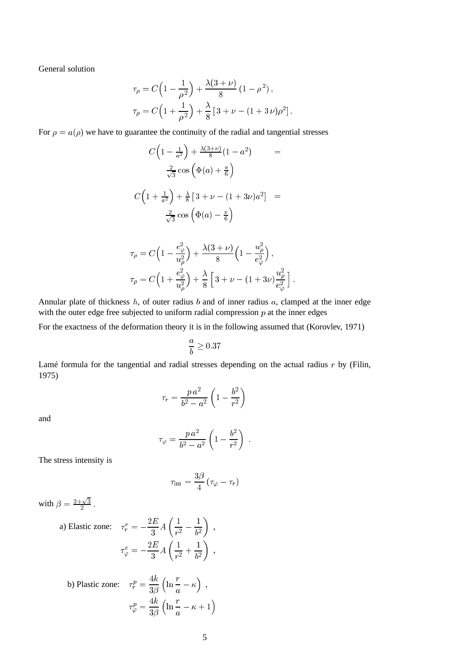General solution

$$
\tau_{\rho} = C \left( 1 - \frac{1}{\rho^2} \right) + \frac{\lambda (3 + \nu)}{8} \left( 1 - \rho^2 \right),
$$
  

$$
\tau_{\rho} = C \left( 1 + \frac{1}{\rho^2} \right) + \frac{\lambda}{8} \left[ 3 + \nu - (1 + 3 \nu) \rho^2 \right].
$$

For  $\rho = a(\rho)$  we have to guarantee the continuity of the radial and tangential stresses

$$
C\left(1-\frac{1}{a^2}\right) + \frac{\lambda(3+\nu)}{8}(1-a^2) =
$$
  

$$
\frac{2}{\sqrt{3}}\cos\left(\Phi(a) + \frac{\pi}{6}\right)
$$
  

$$
C\left(1+\frac{1}{a^2}\right) + \frac{\lambda}{8}\left[3+\nu - (1+3\nu)a^2\right] =
$$
  

$$
\frac{2}{\sqrt{3}}\cos\left(\Phi(a) - \frac{\pi}{6}\right)
$$
  

$$
\tau_{\rho} = C\left(1-\frac{e_{\varphi}^2}{u_{\rho}^2}\right) + \frac{\lambda(3+\nu)}{8}\left(1-\frac{u_{\rho}^2}{e_{\varphi}^2}\right),
$$
  

$$
\tau_{\rho} = C\left(1+\frac{e_{\varphi}^2}{u_{\rho}^2}\right) + \frac{\lambda}{8}\left[3+\nu - (1+3\nu)\frac{u_{\rho}^2}{e_{\varphi}^2}\right]
$$

Annular plate of thickness  $h$ , of outer radius  $b$  and of inner radius  $a$ , clamped at the inner edge with the outer edge free subjected to uniform radial compression  $p$  at the inner edges

For the exactness of the deformation theory it is in the following assumed that (Korovlev, 1971)

$$
\frac{a}{b} \geq 0.37
$$

Lamé formula for the tangential and radial stresses depending on the actual radius  $r$  by (Filin, 1975)

$$
\tau_r = \frac{p \, a^2}{b^2 - a^2} \left( 1 - \frac{b^2}{r^2} \right)
$$

and

$$
\tau_{\varphi} = \frac{p \, a^2}{b^2 - a^2} \left( 1 - \frac{b^2}{r^2} \right) \; .
$$

The stress intensity is

$$
\tau_{\rm int} = \frac{3\beta}{4} \left( \tau_{\varphi} - \tau_r \right)
$$

with  $\beta = \frac{2+\sqrt{3}}{2}$ <sup>2</sup> :

a) Elastic zone: 
$$
\tau_r^e = -\frac{2E}{3} A \left( \frac{1}{r^2} - \frac{1}{b^2} \right) ,
$$

$$
\tau_\varphi^e = -\frac{2E}{3} A \left( \frac{1}{r^2} + \frac{1}{b^2} \right) ,
$$

b) Plastic zone: 
$$
\tau_r^p = \frac{4k}{3\beta} \left( \ln \frac{r}{a} - \kappa \right)
$$
,  

$$
\tau_\varphi^p = \frac{4k}{3\beta} \left( \ln \frac{r}{a} - \kappa + 1 \right)
$$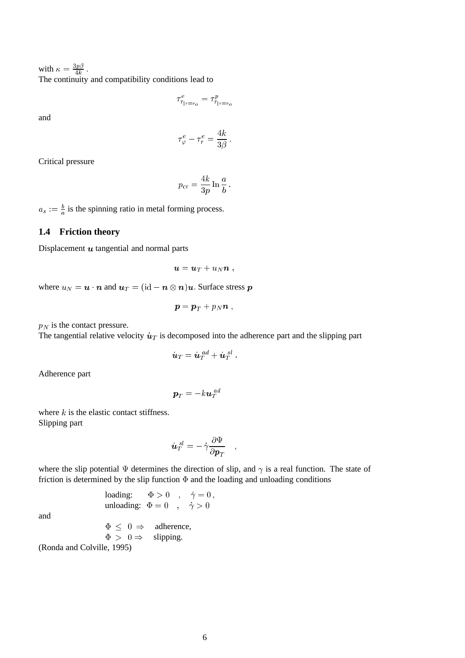with  $\kappa = \frac{3p\beta}{4k}$ . The continuity and compatibility conditions lead to

 $\tau_{r_{|r=r_o}}^e = \tau_{r_{|r=r_o}}^p$ 

and

 $\tau_{\varphi}^e-\tau_r^e=$ 4k  $3\beta^-$ 

Critical pressure

$$
p_{\rm cr} = \frac{4k}{3p} \ln \frac{a}{b}.
$$

 $a_s := \frac{b}{a}$  is the spinning ratio in metal forming process.

## **1.4 Friction theory**

Displacement  $u$  tangential and normal parts

$$
\boldsymbol{u} = \boldsymbol{u}_T + u_N \boldsymbol{n} ,
$$

where  $u_N = \mathbf{u} \cdot \mathbf{n}$  and  $\mathbf{u}_T = (\mathrm{id} - \mathbf{n} \otimes \mathbf{n})\mathbf{u}$ . Surface stress  $\mathbf{p}$ 

$$
\boldsymbol{p} = \boldsymbol{p}_T + p_N \boldsymbol{n} \;,
$$

 $p_N$  is the contact pressure.

The tangential relative velocity  $\dot{u}_T$  is decomposed into the adherence part and the slipping part

$$
\dot{\bm{u}}_T = \dot{\bm{u}}_T^{\ a d} + \dot{\bm{u}}_T^{\ s l} \ .
$$

Adherence part

$$
\bm{p}_T=-k\bm{u}_T^{\phantom{T}ad}
$$

where  $k$  is the elastic contact stiffness. Slipping part

$$
\dot{\boldsymbol{u}}_{T}^{~sl}=-\,\dot{\gamma}\frac{\partial\Psi}{\partial\boldsymbol{p}_{T}}\quad ,\quad
$$

where the slip potential  $\Psi$  determines the direction of slip, and  $\gamma$  is a real function. The state of friction is determined by the slip function  $\Phi$  and the loading and unloading conditions

$$
\begin{array}{lll} \text{loading:} & \Phi>0 & , & \dot\gamma=0\,,\\ \text{unloading:} & \Phi=0 & , & \dot\gamma>0 \end{array}
$$

and

 $\Phi \leq 0 \Rightarrow$  adherence,  $\Phi > 0 \Rightarrow$  slipping. (Ronda and Colville, 1995)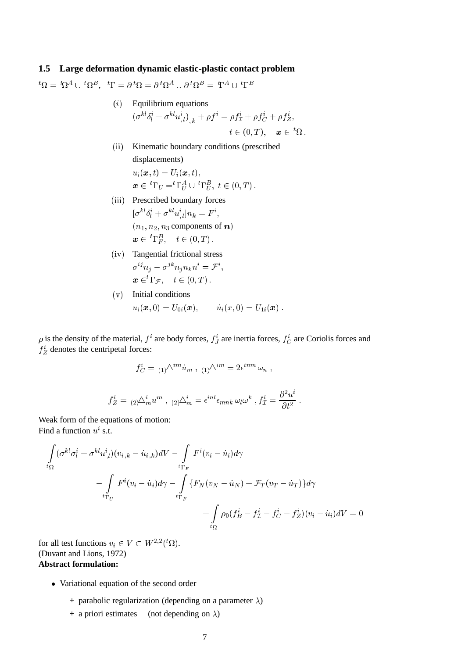## **1.5 Large deformation dynamic elastic-plastic contact problem**

 ${}^t\Omega = \, {}^t\!\Omega^A \cup \, {}^t\!\Omega^B, \ \ {}^t\Gamma = \partial \, {}^t\!\Omega = \partial \, {}^t\!\Omega^A \cup \partial \, {}^t\!\Omega^B = \, \mathbb{T}^A \cup \, {}^t\Gamma^B$ 

- $(i)$  Equilibrium equations  $(\sigma^{kl} \delta^i_l + \sigma^{kl} u^i_{,l})_{,\ k} + \rho f^i = \rho f^i_{\mathcal{I}} + \rho f^i_C + \rho f^i_Z,$  $t \in (0, T), \quad \boldsymbol{x} \in {}^{t}\Omega$ .
- (ii) Kinematic boundary conditions (prescribed displacements)  $u_i(\boldsymbol{x}, t) = U_i(\boldsymbol{x}, t),$  $\pmb{x}\in\ ^t\Gamma_U={}^t\Gamma_U^A\cup\ ^t\Gamma_U^B,\ t\in (0,T)$  .
- (iii) Prescribed boundary forces  $[\sigma^{kl} \delta^i_l + \sigma^{kl} u^i_{,l}] n_k = F^i,$  $(n_1, n_2, n_3$  components of n)  $\boldsymbol{x} \in \,^t\Gamma^B_F, \quad t \in (0,T)\,.$
- (iv) Tangential frictional stress  $\sigma^{ij}n_j-\sigma^{jk}n_jn_kn^i=\mathcal{F}^i,$  $\boldsymbol{x} \in {}^{t}\Gamma_{\mathcal{F}}, \quad t \in (0,T)$ .
- (v) Initial conditions  $u_i(\bm{x}, 0) = U_{0i}(\bm{x}), \qquad \dot{u}_i(x, 0) = U_{1i}(\bm{x}) \; .$

 $\rho$  is the density of the material,  $f^i$  are body forces,  $f^i_J$  are inertia forces,  $f^i_C$  are Coriolis forces and  $f_Z^i$  denotes the centripetal forces:

$$
f_C^i = {}_{(1)}\Delta^{im} \dot{u}_m , {}_{(1)}\Delta^{im} = 2\epsilon^{inm} \omega_n ,
$$

$$
f_Z^i = {}_{(2)}\Delta_m^i u^m , {}_{(2)}\Delta_m^i = \epsilon^{inl} \epsilon_{mnk} \omega_l \omega^k , f_Z^i = \frac{\partial^2 u^i}{\partial t^2}
$$

Weak form of the equations of motion: Find a function  $u^i$  s.t.

$$
\int_{t\Omega} (\sigma^{kl}\sigma_l^i + \sigma^{kl}u^i_{,l})(v_{i,k} - \dot{u}_{i,k})dV - \int_{t\Gamma_F} F^i(v_i - \dot{u}_i)d\gamma
$$
\n
$$
- \int_{t\Gamma_U} F^i(v_i - \dot{u}_i)d\gamma - \int_{t\Gamma_F} \{F_N(v_N - \dot{u}_N) + \mathcal{F}_T(v_T - \dot{u}_T)\}d\gamma
$$
\n
$$
+ \int_{t\Omega} \rho_0 (f_B^i - f_T^i - f_C^i - f_Z^i)(v_i - \dot{u}_i)dV = 0
$$

for all test functions  $v_i \in V \subset W^{2,2}(^t\Omega)$ . (Duvant and Lions, 1972) **Abstract formulation:**

- Variational equation of the second order
	- + parabolic regularization (depending on a parameter  $\lambda$ )
	- + a priori estimates (not depending on  $\lambda$ )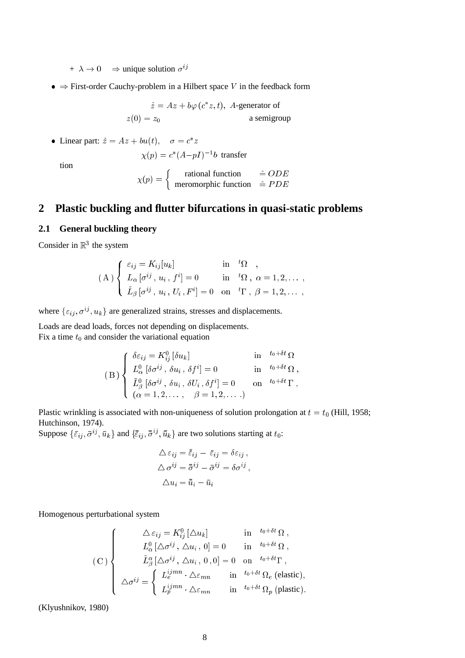$+ \lambda \rightarrow 0 \Rightarrow$  unique solution  $\sigma^{ij}$ 

 $\bullet \Rightarrow$  First-order Cauchy-problem in a Hilbert space V in the feedback form

 $\dot{z} = Az + b\varphi(c^*z, t)$ , A-generator of  $z(0) = z_0$  a semigroup

• Linear part:  $\dot{z} = Az + bu(t), \quad \sigma = c^*z$  $\chi(p) = c^*(A - pI)^{-1}b$  transfer

tion

$$
\chi(p) = \begin{cases} \text{ rational function} & \hat{=} ODE \\ \text{meromorphic function} & \hat{=} PDE \end{cases}
$$

# **2 Plastic buckling and flutter bifurcations in quasi-static problems**

## **2.1 General buckling theory**

Consider in  $\mathbb{R}^3$  the system

$$
(A) \begin{cases} \varepsilon_{ij} = K_{ij}[u_k] & \text{in} \quad {}^t\Omega, \\ L_{\alpha}[\sigma^{ij}, u_i, f^i] = 0 & \text{in} \quad {}^t\Omega, \ \alpha = 1, 2, \dots, \\ \tilde{L}_{\beta}[\sigma^{ij}, u_i, U_i, F^i] = 0 & \text{on} \quad {}^t\Gamma, \ \beta = 1, 2, \dots, \end{cases}
$$

where  $\{\varepsilon_{ij}, \sigma^{ij}, u_k\}$  are generalized strains, stresses and displacements.

Loads are dead loads, forces not depending on displacements. Fix a time  $t_0$  and consider the variational equation

$$
(B) \begin{cases} \n\delta \varepsilon_{ij} = K_{ij}^{0} [\delta u_{k}] & \text{in} \quad t_{0} + \delta t \, \Omega \\
L_{\alpha}^{0} [\delta \sigma^{ij}, \delta u_{i}, \delta f^{i}] = 0 & \text{in} \quad t_{0} + \delta t \, \Omega, \\
\tilde{L}_{\beta}^{0} [\delta \sigma^{ij}, \delta u_{i}, \delta U_{i}, \delta f^{i}] = 0 & \text{on} \quad t_{0} + \delta t \, \Gamma, \\
(\alpha = 1, 2, \dots, \beta = 1, 2, \dots.) & \n\end{cases}
$$

Plastic wrinkling is associated with non-uniqueness of solution prolongation at  $t = t_0$  (Hill, 1958; Hutchinson, 1974).

Suppose  $\{\bar{\varepsilon}_{ij}, \bar{\sigma}^{ij}, \bar{u}_k\}$  and  $\{\bar{\varepsilon}_{ij}, \bar{\sigma}^{ij}, \bar{\bar{u}}_k\}$  are two solutions starting at  $t_0$ :

$$
\Delta \varepsilon_{ij} = \bar{\varepsilon}_{ij} - \bar{\varepsilon}_{ij} = \delta \varepsilon_{ij} ,
$$
  
\n
$$
\Delta \sigma^{ij} = \bar{\sigma}^{ij} - \bar{\sigma}^{ij} = \delta \sigma^{ij} ,
$$
  
\n
$$
\Delta u_i = \bar{u}_i - \bar{u}_i
$$

;

Homogenous perturbational system

$$
\begin{pmatrix}\n\Delta \varepsilon_{ij} = K_{ij}^{0} [\Delta u_{k}] & \text{in} & t_{0} + \delta t_{\Omega} , \\
L_{\alpha}^{0} [\Delta \sigma^{ij}, \Delta u_{i}, 0] = 0 & \text{in} & t_{0} + \delta t_{\Omega} , \\
\tilde{L}_{\beta}^{\alpha} [\Delta \sigma^{ij}, \Delta u_{i}, 0, 0] = 0 & \text{on} & t_{0} + \delta t_{\Gamma} , \\
\Delta \sigma^{ij} = \begin{cases}\nL_{e}^{ijmn} \cdot \Delta \varepsilon_{mn} & \text{in} & t_{0} + \delta t_{\Omega_{e}} \text{ (elastic)}, \\
L_{p}^{ijmn} \cdot \Delta \varepsilon_{mn} & \text{in} & t_{0} + \delta t_{\Omega_{p}} \text{ (plastic)}. \n\end{cases}
$$

(Klyushnikov, 1980)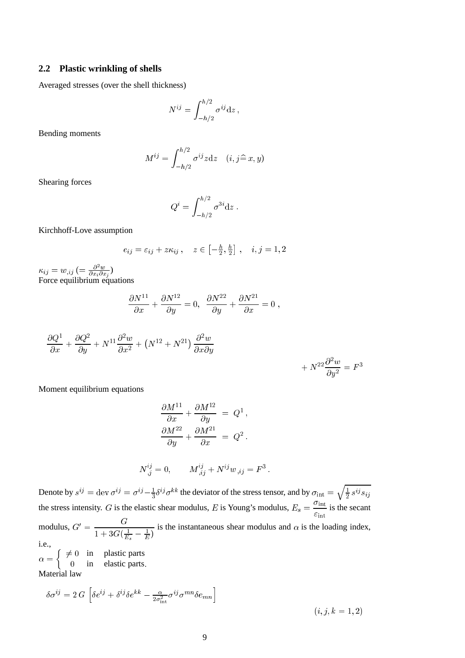## **2.2 Plastic wrinkling of shells**

Averaged stresses (over the shell thickness)

$$
N^{ij} = \int_{-h/2}^{h/2} \sigma^{ij} \mathrm{d} z \,,
$$

Bending moments

$$
M^{ij} = \int_{-h/2}^{h/2} \sigma^{ij} z \mathrm{d} z \quad (i, j \hat{=} x, y)
$$

Shearing forces

$$
Q^i = \int_{-h/2}^{h/2} \sigma^{3i} \mathrm{d}z \, .
$$

Kirchhoff-Love assumption

$$
e_{ij} = \varepsilon_{ij} + z\kappa_{ij}, \quad z \in \left[-\frac{h}{2}, \frac{h}{2}\right], \quad i, j = 1, 2
$$

 $\kappa_{ij} = w_{,ij} \ ( = {{\partial^2 w}\over{\partial x_i \partial x_j}})$ Force equilibrium equations

$$
\frac{\partial N^{11}}{\partial x} + \frac{\partial N^{12}}{\partial y} = 0, \ \ \frac{\partial N^{22}}{\partial y} + \frac{\partial N^{21}}{\partial x} = 0 \ ,
$$

$$
\frac{\partial Q^1}{\partial x} + \frac{\partial Q^2}{\partial y} + N^{11} \frac{\partial^2 w}{\partial x^2} + (N^{12} + N^{21}) \frac{\partial^2 w}{\partial x \partial y} + N^{22} \frac{\partial^2 w}{\partial y^2} = F^3
$$

Moment equilibrium equations

$$
\frac{\partial M^{11}}{\partial x} + \frac{\partial M^{12}}{\partial y} = Q^1,
$$
  

$$
\frac{\partial M^{22}}{\partial y} + \frac{\partial M^{21}}{\partial x} = Q^2.
$$

$$
N^{ij}_{,j} = 0, \qquad M^{ij}_{,ij} + N^{ij} w_{,ij} = F^3 \, .
$$

Denote by  $s^{ij} = \text{dev } \sigma^{ij} = \sigma^{ij} - \frac{1}{3} \delta^{ij} \sigma^{kk}$  the deviator of the stress tensor, and by  $\sigma_{\text{int}} = \sqrt{\frac{1}{n} \sigma^{ij} \sigma^{kk}}$  $\frac{1}{2} s^{ij} s_{ij}$ the stress intensity. G is the elastic shear modulus, E is Young's modulus,  $E_s = \frac{3.0 \text{ m}}{2}$  $rac{\text{m}}{\epsilon_{\text{int}}}$  is the secant modulus,  $G' = \frac{G}{1 + 3G(\frac{1}{E_s} - \frac{1}{E})}$ is the instantaneous shear modulus and  $\alpha$  is the loading index, i.e.,

 $\alpha =$  $\int \neq 0$  in plastic parts <sup>0</sup> in elastic parts: Material law

$$
\delta \sigma^{ij} = 2 G \left[ \delta e^{ij} + \delta^{ij} \delta e^{kk} - \frac{\alpha}{2\sigma_{\rm int}^2} \sigma^{ij} \sigma^{mn} \delta e_{mn} \right]
$$

 $(i, j, k = 1, 2)$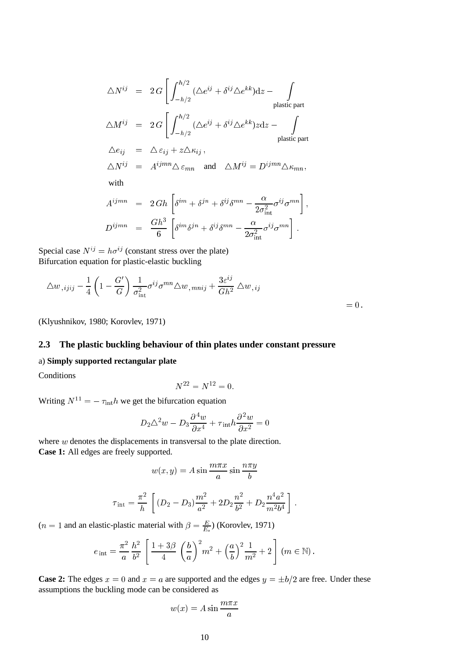$$
\Delta N^{ij} = 2 G \left[ \int_{-h/2}^{h/2} (\Delta e^{ij} + \delta^{ij} \Delta e^{kk}) dz - \int_{\text{plastic part}} \Delta M^{ij} = 2 G \left[ \int_{-h/2}^{h/2} (\Delta e^{ij} + \delta^{ij} \Delta e^{kk}) z dz - \int_{\text{plastic part}} \Delta e_{ij} = \Delta \varepsilon_{ij} + z \Delta \kappa_{ij},
$$
  
\n
$$
\Delta N^{ij} = A^{ijmn} \Delta \varepsilon_{mn} \text{ and } \Delta M^{ij} = D^{ijmn} \Delta \kappa_{mn},
$$
  
\nwith  
\n
$$
A^{ijmn} = 2 G h \left[ \delta^{im} + \delta^{jn} + \delta^{ij} \delta^{mn} - \frac{\alpha}{2 \sigma_{\text{int}}^2} \sigma^{ij} \sigma^{mn} \right],
$$
  
\n
$$
D^{ijmn} = \frac{G h^3}{6} \left[ \delta^{im} \delta^{jn} + \delta^{ij} \delta^{mn} - \frac{\alpha}{2 \sigma_{\text{int}}^2} \sigma^{ij} \sigma^{mn} \right].
$$

Special case  $N^{ij} = h\sigma^{ij}$  (constant stress over the plate) Bifurcation equation for plastic-elastic buckling

$$
\Delta w_{,ijij} - \frac{1}{4} \left( 1 - \frac{G'}{G} \right) \frac{1}{\sigma_{\text{int}}^2} \sigma^{ij} \sigma^{mn} \Delta w_{,mnij} + \frac{3\varepsilon^{ij}}{Gh^2} \Delta w_{,ij} = 0.
$$

(Klyushnikov, 1980; Korovlev, 1971)

## **2.3 The plastic buckling behaviour of thin plates under constant pressure**

## a) **Simply supported rectangular plate**

**Conditions** 

$$
N^{22} = N^{12} = 0.
$$

Writing  $N^{11} = -\tau_{\text{int}}h$  we get the bifurcation equation

$$
D_2 \triangle^2 w - D_3 \frac{\partial^4 w}{\partial x^4} + \tau_{\text{int}} h \frac{\partial^2 w}{\partial x^2} = 0
$$

where w denotes the displacements in transversal to the plate direction. **Case 1:** All edges are freely supported.

$$
w(x, y) = A \sin \frac{m\pi x}{a} \sin \frac{n\pi y}{b}
$$

$$
\tau_{\rm int} = \frac{\pi^2}{h} \left[ (D_2 - D_3) \frac{m^2}{a^2} + 2D_2 \frac{n^2}{b^2} + D_2 \frac{n^4 a^2}{m^2 b^4} \right].
$$

(*n* = 1 and an elastic-plastic material with  $\beta = \frac{E}{E_s}$ ) (Korovlev, 1971)

$$
e_{\text{ int}} = \frac{\pi^2}{a} \frac{h^2}{b^2} \left[ \frac{1+3\beta}{4} \left( \frac{b}{a} \right)^2 m^2 + \left( \frac{a}{b} \right)^2 \frac{1}{m^2} + 2 \right] (m \in \mathbb{N}).
$$

**Case 2:** The edges  $x = 0$  and  $x = a$  are supported and the edges  $y = \pm b/2$  are free. Under these assumptions the buckling mode can be considered as

$$
w(x) = A \sin \frac{m\pi x}{a}
$$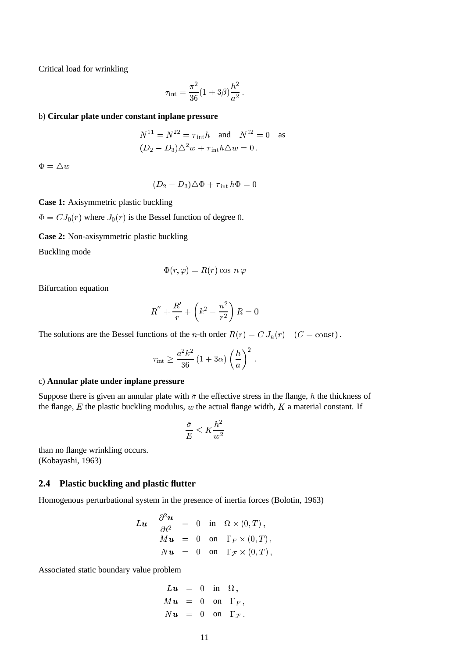Critical load for wrinkling

$$
\tau_{\rm int} = \frac{\pi^2}{36} (1 + 3\beta) \frac{h^2}{a^2} \,.
$$

#### b) **Circular plate under constant inplane pressure**

$$
N^{11} = N^{22} = \tau_{\text{int}}h \quad \text{and} \quad N^{12} = 0 \quad \text{as}
$$

$$
(D_2 - D_3)\triangle^2 w + \tau_{\text{int}}h\triangle w = 0.
$$

 $\Phi = \triangle w$ 

$$
(D_2 - D_3)\triangle \Phi + \tau_{\text{int}}\,h\Phi = 0
$$

**Case 1:** Axisymmetric plastic buckling

 $\Phi = CJ_0(r)$  where  $J_0(r)$  is the Bessel function of degree 0.

**Case 2:** Non-axisymmetric plastic buckling

Buckling mode

$$
\Phi(r,\varphi)=R(r)\cos\,n\,\varphi
$$

Bifurcation equation

$$
R'' + \frac{R'}{r} + \left(k^2 - \frac{n^2}{r^2}\right)R = 0
$$

The solutions are the Bessel functions of the *n*-th order  $R(r) = C J_n(r)$  ( $C = \text{const}$ ).

$$
\tau_{\rm int} \geq \frac{a^2 k^2}{36} \left(1 + 3\alpha\right) \left(\frac{h}{a}\right)^2.
$$

#### c) **Annular plate under inplane pressure**

Suppose there is given an annular plate with  $\bar{\sigma}$  the effective stress in the flange, h the thickness of the flange,  $E$  the plastic buckling modulus,  $w$  the actual flange width,  $K$  a material constant. If

$$
\frac{\bar{\sigma}}{E} \le K \frac{h^2}{w^2}
$$

than no flange wrinkling occurs. (Kobayashi, 1963)

## **2.4 Plastic buckling and plastic flutter**

Homogenous perturbational system in the presence of inertia forces (Bolotin, 1963)

$$
L\mathbf{u} - \frac{\partial^2 \mathbf{u}}{\partial t^2} = 0 \text{ in } \Omega \times (0, T),
$$
  
\n
$$
M\mathbf{u} = 0 \text{ on } \Gamma_F \times (0, T),
$$
  
\n
$$
N\mathbf{u} = 0 \text{ on } \Gamma_F \times (0, T),
$$

Associated static boundary value problem

$$
Lu = 0 \text{ in } \Omega,
$$
  
\n
$$
Mu = 0 \text{ on } \Gamma_F,
$$
  
\n
$$
Nu = 0 \text{ on } \Gamma_{\mathcal{F}}.
$$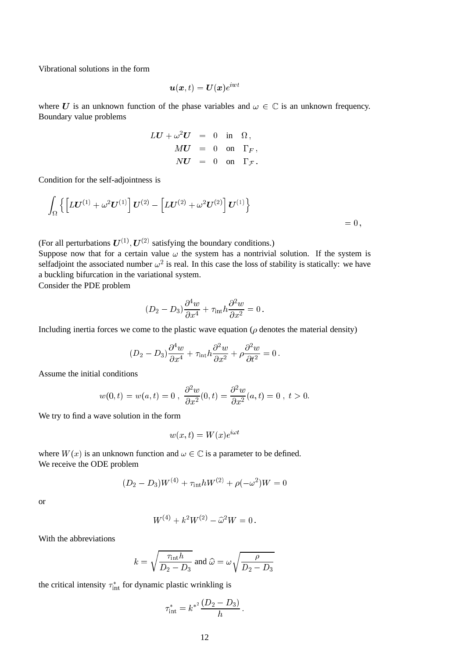Vibrational solutions in the form

$$
\bm{u}(\bm{x},t)=\bm{U}(\bm{x})e^{i\bm{w}t}
$$

where U is an unknown function of the phase variables and  $\omega \in \mathbb{C}$  is an unknown frequency. Boundary value problems

$$
LU + \omega^2 U = 0 \text{ in } \Omega,
$$
  
\n
$$
MU = 0 \text{ on } \Gamma_F,
$$
  
\n
$$
NU = 0 \text{ on } \Gamma_{\mathcal{F}}.
$$

Condition for the self-adjointness is

$$
\int_{\Omega}\left\{\left[L\bm{U}^{(1)}+\omega^2\bm{U}^{(1)}\right]\bm{U}^{(2)}-\left[L\bm{U}^{(2)}+\omega^2\bm{U}^{(2)}\right]\bm{U}^{(1)}\right\} = 0,
$$

(For all perturbations  $U^{(1)}$ ,  $U^{(2)}$  satisfying the boundary conditions.)

Suppose now that for a certain value  $\omega$  the system has a nontrivial solution. If the system is selfadjoint the associated number  $\omega^2$  is real. In this case the loss of stability is statically: we have a buckling bifurcation in the variational system.

Consider the PDE problem

$$
(D_2-D_3)\frac{\partial^4 w}{\partial x^4}+\tau_{\rm int} h \frac{\partial^2 w}{\partial x^2}=0\,.
$$

Including inertia forces we come to the plastic wave equation ( $\rho$  denotes the material density)

$$
(D_2 - D_3)\frac{\partial^4 w}{\partial x^4} + \tau_{\rm int} h \frac{\partial^2 w}{\partial x^2} + \rho \frac{\partial^2 w}{\partial t^2} = 0.
$$

Assume the initial conditions

$$
w(0, t) = w(a, t) = 0
$$
,  $\frac{\partial^2 w}{\partial x^2}(0, t) = \frac{\partial^2 w}{\partial x^2}(a, t) = 0$ ,  $t > 0$ .

We try to find a wave solution in the form

$$
w(x,t) = W(x)e^{i\omega t}
$$

where  $W(x)$  is an unknown function and  $\omega \in \mathbb{C}$  is a parameter to be defined. We receive the ODE problem

$$
(D_2 - D_3)W^{(4)} + \tau_{\rm int}hW^{(2)} + \rho(-\omega^2)W = 0
$$

or

$$
W^{(4)} + k^2 W^{(2)} - \hat{\omega}^2 W = 0.
$$

With the abbreviations

$$
k = \sqrt{\frac{\tau_{\text{int}} h}{D_2 - D_3}}
$$
 and  $\hat{\omega} = \omega \sqrt{\frac{\rho}{D_2 - D_3}}$ 

the critical intensity  $\tau_{\text{int}}^*$  for dynamic plastic wrinkling is

$$
\tau_{\text{int}}^* = k^{*^2} \frac{(D_2 - D_3)}{h}
$$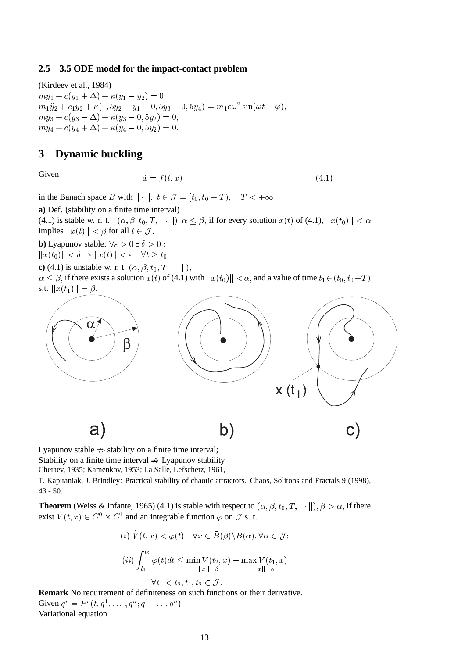## **2.5 3.5 ODE model for the impact-contact problem**

(Kirdeev et al., 1984)  $m\ddot{y}_1 + c(y_1 + \Delta) + \kappa(y_1 - y_2) = 0,$  $m_1 \ddot{y}_2 + c_1 y_2 + \kappa (1, 5 y_2 - y_1 - 0, 5 y_3 - 0, 5 y_4) = m_1 e \omega^2 \sin(\omega t + \varphi),$  $m\ddot{y}_3 + c(y_3 - \Delta) + \kappa(y_3 - 0, 5y_2) = 0,$  $m\ddot{y}_4 + c(y_4 + \Delta) + \kappa(y_4 - 0, 5y_2) = 0.$ 

# **3 Dynamic buckling**

Given 
$$
\dot{x} = f(t, x) \tag{4.1}
$$

in the Banach space B with  $||\cdot||$ ,  $t \in \mathcal{J} = [t_0, t_0 + T)$ ,  $T < +\infty$ 

**a)** Def. (stability on a finite time interval)

(4.1) is stable w. r. t.  $(\alpha, \beta, t_0, T, || \cdot ||)$ ,  $\alpha \leq \beta$ , if for every solution  $x(t)$  of (4.1),  $||x(t_0)|| < \alpha$ implies  $||x(t)|| < \beta$  for all  $t \in \mathcal{J}$ .

**b**) Lyapunov stable:  $\forall \epsilon > 0 \exists \delta > 0$ :

 $||x(t_0)|| < \delta \Rightarrow ||x(t)|| < \varepsilon \quad \forall t \geq t_0$ 

**c**) (4.1) is unstable w. r. t.  $(\alpha, \beta, t_0, T, || \cdot ||)$ ,  $\alpha \leq \beta$ , if there exists a solution  $x(t)$  of (4.1) with  $||x(t_0)|| < \alpha$ , and a value of time  $t_1 \in (t_0, t_0+T)$ s.t.  $||x(t_1)|| = \beta$ .



Lyapunov stable  $\Rightarrow$  stability on a finite time interval;

Stability on a finite time interval  $\Rightarrow$  Lyapunov stability

Chetaev, 1935; Kamenkov, 1953; La Salle, Lefschetz, 1961,

T. Kapitaniak, J. Brindley: Practical stability of chaotic attractors. Chaos, Solitons and Fractals 9 (1998), 43 - 50.

**Theorem** (Weiss & Infante, 1965) (4.1) is stable with respect to  $(\alpha, \beta, t_0, T, ||\cdot||), \beta > \alpha$ , if there exist  $V(t, x) \in C^0 \times C^1$  and an integrable function  $\varphi$  on  $\mathcal J$  s. t.

(i) 
$$
\dot{V}(t, x) < \varphi(t)
$$
  $\forall x \in \overline{B}(\beta) \setminus B(\alpha), \forall \alpha \in \mathcal{J};$   
\n(ii)  $\int_{t_1}^{t_2} \varphi(t)dt \le \min_{||x||=\beta} V(t_2, x) - \max_{||x||=\alpha} V(t_1, x)$   
\n $\forall t_1 < t_2, t_1, t_2 \in \mathcal{J}.$ 

**Remark** No requirement of definiteness on such functions or their derivative. Given  $\ddot{q}^r = P^r(t, q^1, \dots, q^n; \dot{q}^1, \dots, \dot{q}^n)$ Variational equation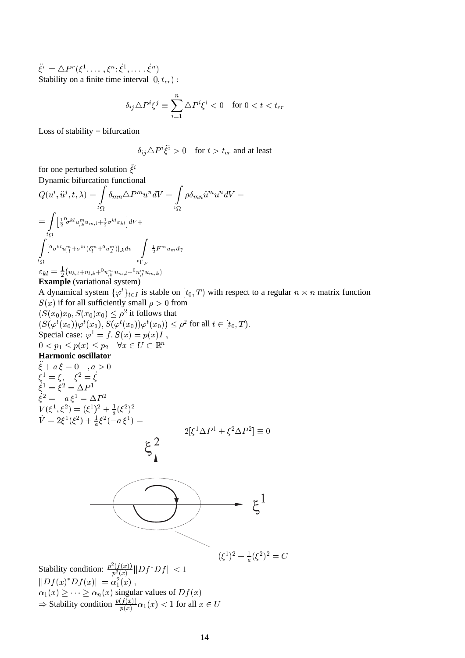$\ddot{\xi}^r = \Delta P^r(\xi^1, \ldots, \xi^n; \dot{\xi}^1, \ldots,$  $\dot{\xi}^n)$ Stability on a finite time interval  $[0, t_{cr})$ :

$$
\delta_{ij} \triangle P^i \xi^j \equiv \sum_{i=1}^n \triangle P^i \xi^i < 0 \quad \text{for } 0 < t < t_{cr}
$$

Loss of stability  $=$  bifurcation

$$
\delta_{ij} \Delta P^i \tilde{\xi}^i > 0
$$
 for  $t > t_{cr}$  and at least

for one perturbed solution  $\tilde{\xi}^i$ Dynamic bifurcation functional

$$
Q(u^i, \ddot{u}^j, t, \lambda) = \int_{t_{\Omega}} \delta_{mn} \Delta P^m u^n dV = \int_{t_{\Omega}} \rho \delta_{mn} \ddot{u}^m u^n dV =
$$
  

$$
= \int_{t_{\Omega}} \left[\frac{1}{2} \partial_{\sigma} k^l u_{,k}^m u_{m,l} + \frac{1}{2} \sigma^{kl} \varepsilon_{kl}\right] dV +
$$
  

$$
\int_{t_{\Omega}} \left[\frac{1}{2} \partial_{\sigma} k^l u_{,l}^m + \sigma^{kl} (\delta_l^m + 0 u_{,l}^m) \right]_{,k} dv - \int_{t_{\Omega}} \frac{1}{2} F^m u_{m} d\gamma
$$
  

$$
\varepsilon_{kl} = \frac{1}{2} (u_{k,l} + u_{l,k} + 0 u_{,k}^m u_{m,l} + 0 u_{,l}^m u_{m,k})
$$

**Example** (variational system)

A dynamical system  $\{\varphi^t\}_{t \in I}$  is stable on  $[t_0, T)$  with respect to a regular  $n \times n$  matrix function  $S(x)$  if for all sufficiently small  $\rho > 0$  from

$$
(S(x_0)x_0, S(x_0)x_0) \leq \rho^2 \text{ it follows that}
$$
  
\n
$$
(S(\varphi^t(x_0))\varphi^t(x_0), S(\varphi^t(x_0))\varphi^t(x_0)) \leq \rho^2 \text{ for all } t \in [t_0, T).
$$
  
\nSpecial case:  $\varphi^1 = f, S(x) = p(x)I$ ,  
\n $0 < p_1 \leq p(x) \leq p_2 \quad \forall x \in U \subset \mathbb{R}^n$   
\n**Harmonic oscillator**  
\n $\ddot{\xi} + a\xi = 0$ ,  $a > 0$   
\n $\xi^1 = \xi, \quad \xi^2 = \dot{\xi}$   
\n $\xi^1 = \xi^2 = \Delta P^1$   
\n $\xi^2 = -a\xi^1 = \Delta P^2$   
\n $V(\xi^1, \xi^2) = (\xi^1)^2 + \frac{1}{a}(\xi^2)^2$   
\n $\dot{V} = 2\xi^1(\xi^2) + \frac{1}{a}\xi^2(-a\xi^1) =$   
\n $\xi^2$   
\n $\xi^2$   
\n $\xi^3 = \frac{1}{\xi^2} \Delta P^1 + \xi^2 \Delta P^2 \equiv 0$ 

 $(\xi^1)^2 + \frac{1}{a}(\xi^2)^2 = C$ Stability condition:  $\frac{p^2(f(x))}{p^2(x)}$  $\frac{\sum (x,y)}{p^2(x)}||Df^*Df|| < 1$  $||Df(x)^*Df(x)|| = \alpha_1^2(x)$ ,  $\alpha_1(x) \geq \cdots \geq \alpha_n(x)$  singular values of  $Df(x)$  $\Rightarrow$  Stability condition  $\frac{p(f(x))}{p(x)} \alpha_1(x) < 1$  for all  $x \in U$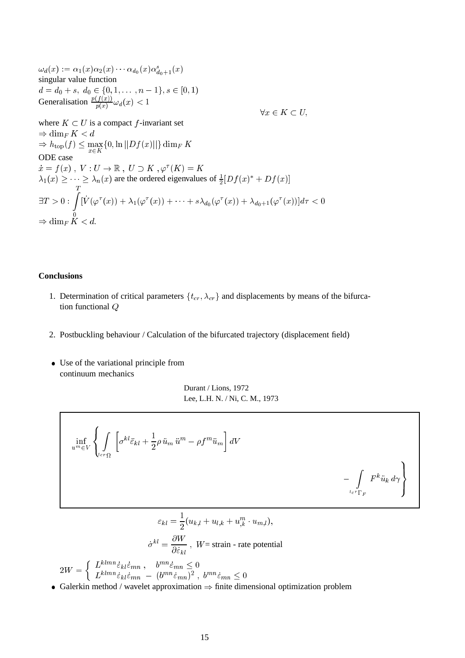$\omega_d(x) := \alpha_1(x) \alpha_2(x) \cdots \alpha_{d_0}(x) \alpha_{d_0+1}^s(x)$ singular value function  $d = d_0 + s, \, d_0 \in \{0, 1, \ldots, n-1\}, s \in [0, 1)$ Generalisation  $\frac{p(f(x))}{p(x)} \omega_d(x) < 1$  $\forall x \in K \subset U.$ where  $K \subset U$  is a compact f-invariant set  $\Rightarrow$  dim<sub>F</sub> K < d  $\Rightarrow h_{\text{top}}(f) \leq \max_{x \in K}\{0, \ln ||Df(x)||\} \dim_F K$ ODE case  $\dot{x} = f (x) \; , \; V : U \to \mathbb{R} \; , \; U \supset K \; , \varphi^\tau (K) = K$  $\lambda_1(x) \geq \cdots \geq \lambda_n(x)$  are the ordered eigenvalues of  $\frac{1}{2}[Df(x)^* + Df(x)]$  $\exists T>0:\;\int^T$  $\Rightarrow$  dim<sub>F</sub>  $K < d$ .  $[\dot{V}(\varphi^\tau(x)) + \lambda_1(\varphi^\tau(x)) + \cdots + s\lambda_{d_0}(\varphi^\tau(x)) + \lambda_{d_0+1}(\varphi^\tau(x))]d\tau < 0$ 

#### **Conclusions**

 $\mathsf{r}$ 

- 1. Determination of critical parameters  $\{t_{cr}, \lambda_{cr}\}\$  and displacements by means of the bifurcation functional Q
- 2. Postbuckling behaviour / Calculation of the bifurcated trajectory (displacement field)
- Use of the variational principle from continuum mechanics

Durant / Lions, 1972 Lee, L.H. N. / Ni, C. M., 1973

$$
\inf_{u^m \in V} \left\{ \int_{t_{cr}\Omega} \left[ \sigma^{kl} \ddot{\varepsilon}_{kl} + \frac{1}{2} \rho \ddot{u}_m \ddot{u}^m - \rho f^m \ddot{u}_m \right] dV - \int_{t_{cr}\Gamma_F} F^k \ddot{u}_k d\gamma \right\}
$$

$$
\varepsilon_{kl} = \frac{1}{2} (u_{k,l} + u_{l,k} + u_{,k}^m \cdot u_{m,l}),
$$

٦

$$
\dot{\sigma}^{kl} = \frac{\partial W}{\partial \dot{\varepsilon}_{kl}}, \quad W = \text{strain - rate potential}
$$
  

$$
2W = \begin{cases} L^{klmn} \dot{\varepsilon}_{kl} \dot{\varepsilon}_{mn} , & b^{mn} \dot{\varepsilon}_{mn} \le 0 \\ L^{klmn} \dot{\varepsilon}_{kl} \dot{\varepsilon}_{mn} - (b^{mn} \dot{\varepsilon}_{mn})^2 , & b^{mn} \dot{\varepsilon}_{mn} \le 0 \end{cases}
$$

Galerkin method / wavelet approximation  $\Rightarrow$  finite dimensional optimization problem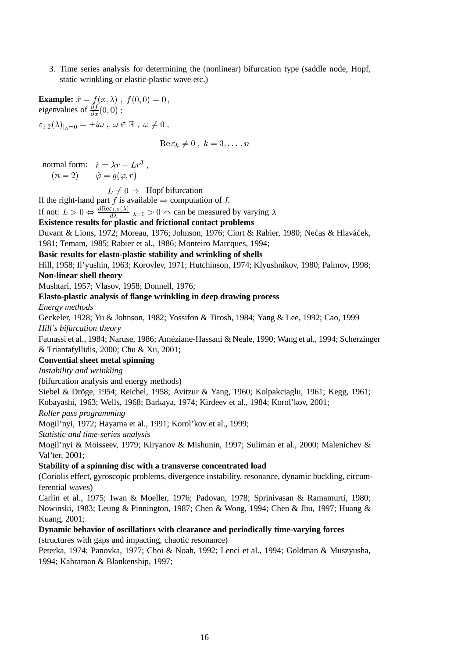3. Time series analysis for determining the (nonlinear) bifurcation type (saddle node, Hopf, static wrinkling or elastic-plastic wave etc.)

**Example:**  $\dot{x} = f (x, \lambda)$ ,  $f (0, 0) = 0$ , eigenvalues of  $\frac{\partial f}{\partial x}(0,0)$ :  $\left\{ \varepsilon_{1,2}(\lambda)\right\} _{\lambda=0}=\pm i\omega\ ,\ \omega\in\mathbb{R}\ ,\ \omega\neq0\ ,$  $\operatorname{Re} \varepsilon_k \neq 0$ ,  $k = 3, \ldots, n$ normal form:  $\dot{r} = \lambda r - L r^3$ ,  $(n = 2)$   $\dot{\varphi} = q(\varphi, r)$ 

 $L \neq 0 \Rightarrow$  Hopf bifurcation

If the right-hand part f is available  $\Rightarrow$  computation of L If not:  $L > 0 \Leftrightarrow \frac{d \text{Re} \varepsilon_{1,2}(\lambda)}{d \lambda} |_{\lambda=0} > 0 \wedge \text{can be measured by varying } \lambda$ 

# **Existence results for plastic and frictional contact problems**

Duvant & Lions, 1972; Moreau, 1976; Johnson, 1976; Ciort & Rabier, 1980; Nećas & Hlaváćek, 1981; Temam, 1985; Rabier et al., 1986; Monteiro Marcques, 1994;

# **Basic results for elasto-plastic stability and wrinkling of shells**

Hill, 1958; Il'yushin, 1963; Korovlev, 1971; Hutchinson, 1974; Klyushnikov, 1980; Palmov, 1998; **Non-linear shell theory**

Mushtari, 1957; Vlasov, 1958; Donnell, 1976;

# **Elasto-plastic analysis of flange wrinkling in deep drawing process**

*Energy methods*

Geckeler, 1928; Yu & Johnson, 1982; Yossifon & Tirosh, 1984; Yang & Lee, 1992; Cao, 1999 *Hill's bifurcation theory*

Fatnassi et al., 1984; Naruse, 1986; Améziane-Hassani & Neale, 1990; Wang et al., 1994; Scherzinger & Triantafyllidis, 2000; Chu & Xu, 2001;

## **Convential sheet metal spinning**

*Instability and wrinkling*

(bifurcation analysis and energy methods)

Siebel & Dröge, 1954; Reichel, 1958; Avitzur & Yang, 1960; Kolpakciaglu, 1961; Kegg, 1961; Kobayashi, 1963; Wells, 1968; Barkaya, 1974; Kirdeev et al., 1984; Korol'kov, 2001;

*Roller pass programming*

Mogil'nyi, 1972; Hayama et al., 1991; Korol'kov et al., 1999;

*Statistic and time-series analysis*

Mogil'nyi & Moisseev, 1979; Kiryanov & Mishunin, 1997; Suliman et al., 2000; Malenichev & Val'ter, 2001;

## **Stability of a spinning disc with a transverse concentrated load**

(Coriolis effect, gyroscopic problems, divergence instability, resonance, dynamic buckling, circumferential waves)

Carlin et al., 1975; Iwan & Moeller, 1976; Padovan, 1978; Sprinivasan & Ramamurti, 1980; Nowinski, 1983; Leung & Pinnington, 1987; Chen & Wong, 1994; Chen & Jhu, 1997; Huang & Kuang, 2001;

**Dynamic behavior of oscillatiors with clearance and periodically time-varying forces** (structures with gaps and impacting, chaotic resonance)

Peterka, 1974; Panovka, 1977; Choi & Noah, 1992; Lenci et al., 1994; Goldman & Muszyusha, 1994; Kahraman & Blankenship, 1997;